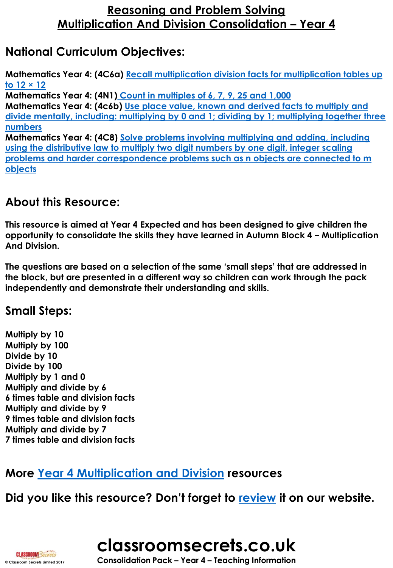## **National Curriculum Objectives:**

**Mathematics Year 4: (4C6a) Recall multiplication [division facts for multiplication tables up](http://classroomsecrets.co.uk/content-domain-filter/?fwp_contentdomain=4c6a)  to 12 × 12**

**Mathematics Year 4: (4N1) [Count in multiples of 6, 7, 9, 25 and 1,000](http://classroomsecrets.co.uk/content-domain-filter/?fwp_contentdomain=4n1) Mathematics Year 4: (4c6b) Use place value, known and derived facts to multiply and [divide mentally, including: multiplying by 0 and 1; dividing by 1; multiplying together three](http://classroomsecrets.co.uk/content-domain-filter/?fwp_contentdomain=4c6b) numbers Mathematics Year 4: (4C8) Solve problems involving multiplying and adding, including using the distributive law to multiply two digit numbers by one digit, integer scaling [problems and harder correspondence problems such as n objects are connected to m](http://classroomsecrets.co.uk/content-domain-filter/?fwp_contentdomain=4c8)** 

**objects**

## **About this Resource:**

**This resource is aimed at Year 4 Expected and has been designed to give children the opportunity to consolidate the skills they have learned in Autumn Block 4 – Multiplication And Division.** 

**The questions are based on a selection of the same 'small steps' that are addressed in the block, but are presented in a different way so children can work through the pack independently and demonstrate their understanding and skills.** 

## **Small Steps:**

**Multiply by 10 Multiply by 100 Divide by 10 Divide by 100 Multiply by 1 and 0 Multiply and divide by 6 6 times table and division facts Multiply and divide by 9 9 times table and division facts Multiply and divide by 7 7 times table and division facts**

# **More [Year 4 Multiplication and Division](https://classroomsecrets.co.uk/category/maths/year-4/autumn-block-4-multiplication-and-division-year-4/) resources**

## **Did you like this resource? Don't forget to [review](https://classroomsecrets.co.uk/multiplication-and-division-consolidation-year-4-block-4-wrm-reasoning-and-problem-solving) it on our website.**





**CLASSROOM Secrets**<br>
© Consolidation Pack – Year 4 – Teaching Information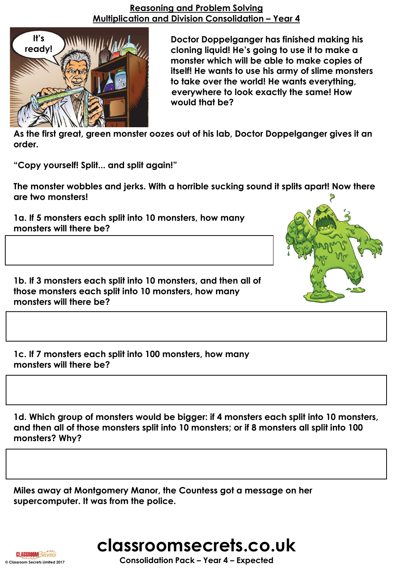

**Doctor Doppelganger has finished making his cloning liquid! He's going to use it to make a slime monster which will be able to make copies of itself! He wants to use his army of slime monsters to take over the world! He wants everything, everywhere to look exactly the same! How boring would that be?** 

**As the first great, green monster oozes out of his lab, Doctor Doppelganger gives it an order.**

**"Copy yourself! Split... and split again!"**

**The monster wobbles and jerks. With a horrible sucking sound it splits apart! Now there are two monsters!**

**1a. If 5 monsters each split into 10 monsters, how many monsters will there be?**

**1b. If 3 monsters each split into 10 monsters, and then all of those monsters each split into 10 monsters, how many monsters will there be?**

**1c. If 7 monsters each split into 100 monsters, how many monsters will there be?**

**1d. Which group of monsters would be bigger: if 4 monsters each split into 10 monsters, and then all of those monsters split into 10 monsters; or if 8 monsters all split into 100 monsters? Why?**

**Miles away at Montgomery Manor, the Countess got a message on her supercomputer. It was from the police.**



**© Classroom Secrets Limited 2017 Consolidation Pack – Year 4 – Expected**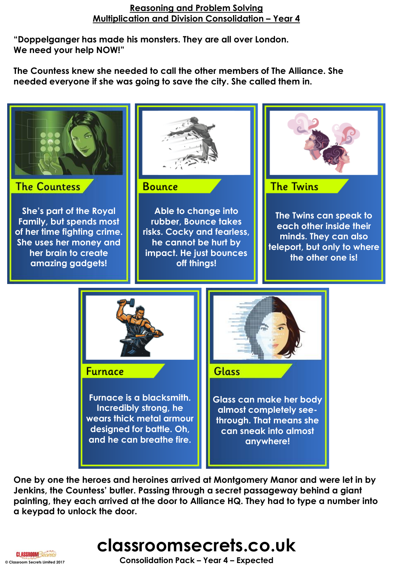**"Doppelganger has made his monsters. They are all over London. We need your help NOW!"**

**The Countess knew she needed to call the other members of The Alliance. She needed everyone if she was going to save the city. She called them in.**



**One by one the heroes and heroines arrived at Montgomery Manor and were let in by Jenkins, the Countess' butler. Passing through a secret passageway behind a giant painting, they each arrived at the door to Alliance HQ. They had to type a number into a keypad to unlock the door.**

**classroomsecrets.co.uk**

**© Classroom Secrets Limited 2017 Consolidation Pack – Year 4 – Expected**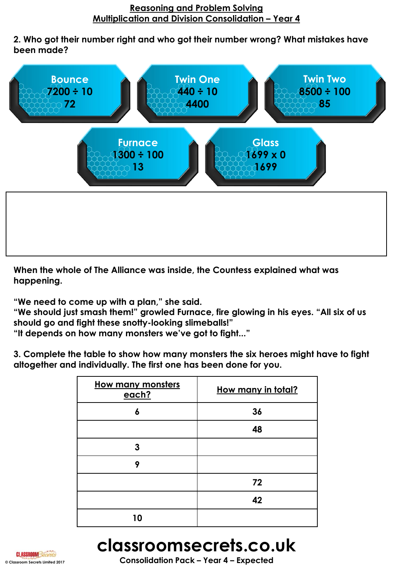**2. Who got their number right and who got their number wrong? What mistakes have been made?**



**When the whole of The Alliance was inside, the Countess explained what was happening.**

**"We need to come up with a plan," she said.**

**"We should just smash them!" growled Furnace, fire glowing in his eyes. "All six of us should go and fight these snotty-looking slimeballs!"**

**"It depends on how many monsters we've got to fight..."**

**3. Complete the table to show how many monsters the six heroes might have to fight altogether and individually. The first one has been done for you.**

| <b>How many monsters</b><br>each? | How many in total? |
|-----------------------------------|--------------------|
| 6                                 | 36                 |
|                                   | 48                 |
| 3                                 |                    |
| 9                                 |                    |
|                                   | 72                 |
|                                   | 42                 |
| 10                                |                    |





**CLASSROOM**<br> **CONSOLIDATION** PACK **–** Year 4 **– Expected**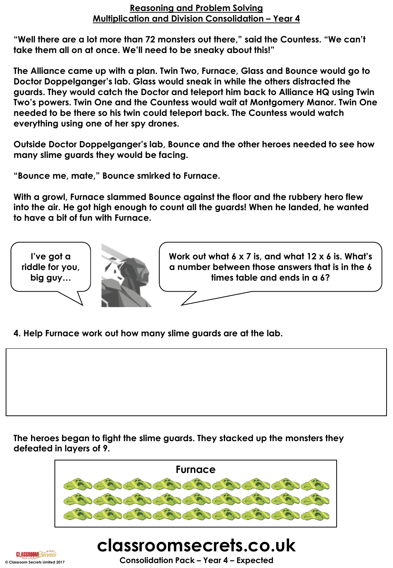**"Well there are a lot more than 72 monsters out there," said the Countess. "We can't take them all on at once. We'll need to be sneaky about this!"**

**The Alliance came up with a plan. Twin Two, Furnace, Glass and Bounce would go to Doctor Doppelganger's lab. Glass would sneak in while the others distracted the guards. They would catch the Doctor and teleport him back to Alliance HQ using Twin Two's powers. Twin One and the Countess would wait at Montgomery Manor. Twin One needed to be there so his twin could teleport back. The Countess would watch everything using one of her spy drones.**

**Outside Doctor Doppelganger's lab, Bounce and the other heroes needed to see how many slime guards they would be facing.** 

**"Bounce me, mate," Bounce smirked to Furnace.**

**With a growl, Furnace slammed Bounce against the floor and the rubbery hero flew into the air. He got high enough to count all the guards! When he landed, he wanted to have a bit of fun with Furnace.**



**4. Help Furnace work out how many slime guards are at the lab.**

**The heroes began to fight the slime guards. They stacked up the monsters they defeated in layers of 9.**





### **classroomsecrets.co.uk CLASSROOM**<br> **CONSOLIDATION**<br> **CONSOLIDATION PACK – Year 4 – Expected**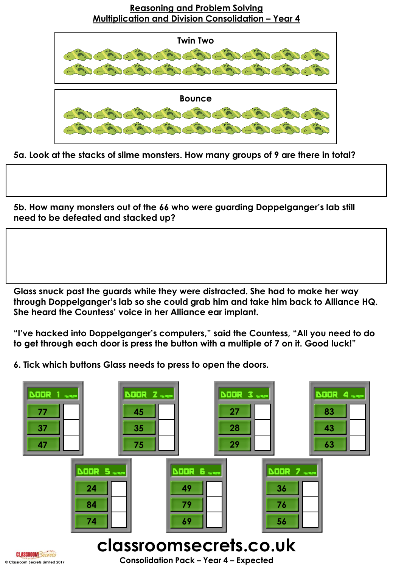

**5a. Look at the stacks of slime monsters. How many groups of 9 are there in total?**

**5b. How many monsters out of the 66 who were guarding Doppelganger's lab still need to be defeated and stacked up?**

**Glass snuck past the guards while they were distracted. She had to make her way through Doppelganger's lab so she could grab him and take him back to Alliance HQ. She heard the Countess' voice in her Alliance ear implant.**

**"I've hacked into Doppelganger's computers," said the Countess, "All you need to do to get through each door is press the button with a multiple of 7 on it. Good luck!"**

**6. Tick which buttons Glass needs to press to open the doors.**

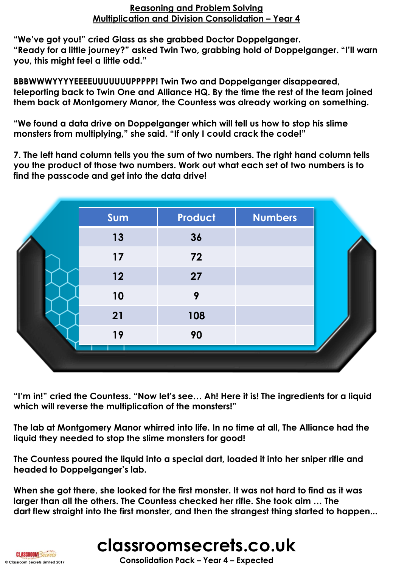**"We've got you!" cried Glass as she grabbed Doctor Doppelganger. "Ready for a little journey?" asked Twin Two, grabbing hold of Doppelganger. "I'll warn you, this might feel a little odd."**

**BBBWWWYYYYEEEEUUUUUUUPPPPP! Twin Two and Doppelganger disappeared, teleporting back to Twin One and Alliance HQ. By the time the rest of the team joined them back at Montgomery Manor, the Countess was already working on something.**

**"We found a data drive on Doppelganger which will tell us how to stop his slime monsters from multiplying," she said. "If only I could crack the code!"**

**7. The left hand column tells you the sum of two numbers. The right hand column tells you the product of those two numbers. Work out what each set of two numbers is to find the passcode and get into the data drive!**

| Sum | Product | <b>Numbers</b> |
|-----|---------|----------------|
| 13  | 36      |                |
| 17  | 72      |                |
| 12  | 27      |                |
| 10  | 9       |                |
| 21  | 108     |                |
| 19  | 90      |                |

**"I'm in!" cried the Countess. "Now let's see… Ah! Here it is! The ingredients for a liquid which will reverse the multiplication of the monsters!"**

**The lab at Montgomery Manor whirred into life. In no time at all, The Alliance had the liquid they needed to stop the slime monsters for good!** 

**The Countess poured the liquid into a special dart, loaded it into her sniper rifle and headed to Doppelganger's lab.**

**When she got there, she looked for the first monster. It was not hard to find as it was larger than all the others. The Countess checked her rifle. She took aim … The dart flew straight into the first monster, and then the strangest thing started to happen...** 



**CLASSROOM Secrets**<br> **CONSOLIDATION PACK – Year 4 – Expected**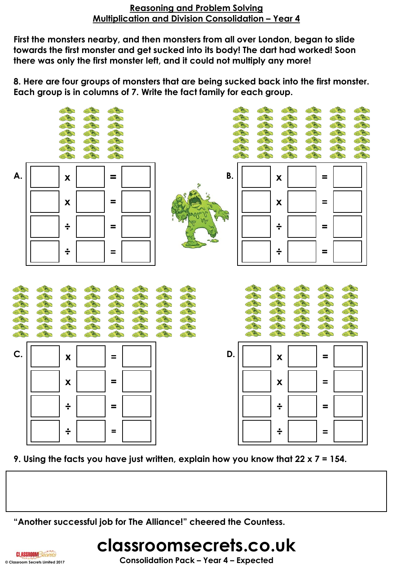**First the monsters nearby, and then monsters from all over London, began to slide towards the first monster and get sucked into its body! The dart had worked! Soon there was only the first monster left, and it could not multiply any more!**

**8. Here are four groups of monsters that are being sucked back into the first monster. Each group is in columns of 7. Write the fact family for each group.**



**9. Using the facts you have just written, explain how you know that 22 x 7 = 154.**

**"Another successful job for The Alliance!" cheered the Countess.**

## **classroomsecrets.co.uk CLASSROOM Secrets**<br> **CONSOLIDATION PACK –** Year 4 – **Expected**